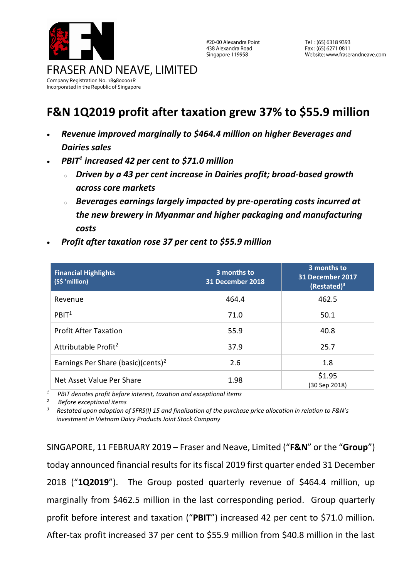

#20-00 Alexandra Point 438 Alexandra Road Singapore 119958

Tel: (65) 6318 9393 Fax: (65) 6271 0811 Website: www.fraserandneave.com

## **F&N 1Q2019 profit after taxation grew 37% to \$55.9 million**

- *Revenue improved marginally to \$464.4 million on higher Beverages and Dairies sales*
- *PBIT<sup>1</sup> increased 42 per cent to \$71.0 million*
	- <sup>o</sup> *Driven by a 43 per cent increase in Dairies profit; broad-based growth across core markets*
	- <sup>o</sup> *Beverages earnings largely impacted by pre-operating costs incurred at the new brewery in Myanmar and higher packaging and manufacturing costs*

| <b>Financial Highlights</b><br>(S\$ 'million)  | 3 months to<br>31 December 2018 | 3 months to<br>31 December 2017<br>$(Restated)^3$ |
|------------------------------------------------|---------------------------------|---------------------------------------------------|
| Revenue                                        | 464.4                           | 462.5                                             |
| PBIT <sup>1</sup>                              | 71.0                            | 50.1                                              |
| <b>Profit After Taxation</b>                   | 55.9                            | 40.8                                              |
| Attributable Profit <sup>2</sup>               | 37.9                            | 25.7                                              |
| Earnings Per Share (basic)(cents) <sup>2</sup> | 2.6                             | 1.8                                               |
| Net Asset Value Per Share                      | 1.98                            | \$1.95<br>(30 Sep 2018)                           |

• *Profit after taxation rose 37 per cent to \$55.9 million*

*1 PBIT denotes profit before interest, taxation and exceptional items* 

*<sup>2</sup> Before exceptional items*

*3 Restated upon adoption of SFRS(I) 15 and finalisation of the purchase price allocation in relation to F&N's investment in Vietnam Dairy Products Joint Stock Company*

SINGAPORE, 11 FEBRUARY 2019 – Fraser and Neave, Limited ("**F&N**" or the "**Group**") today announced financial results for its fiscal 2019 first quarter ended 31 December 2018 ("**1Q2019**"). The Group posted quarterly revenue of \$464.4 million, up marginally from \$462.5 million in the last corresponding period. Group quarterly profit before interest and taxation ("**PBIT**") increased 42 per cent to \$71.0 million. After-tax profit increased 37 per cent to \$55.9 million from \$40.8 million in the last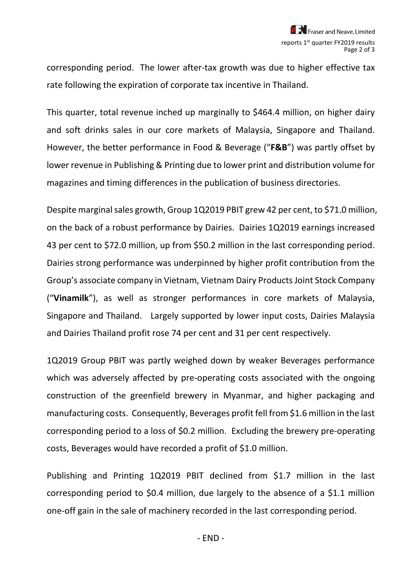corresponding period. The lower after-tax growth was due to higher effective tax rate following the expiration of corporate tax incentive in Thailand.

This quarter, total revenue inched up marginally to \$464.4 million, on higher dairy and soft drinks sales in our core markets of Malaysia, Singapore and Thailand. However, the better performance in Food & Beverage ("**F&B**") was partly offset by lower revenue in Publishing & Printing due to lower print and distribution volume for magazines and timing differences in the publication of business directories.

Despite marginal sales growth, Group 1Q2019 PBIT grew 42 per cent, to \$71.0 million, on the back of a robust performance by Dairies. Dairies 1Q2019 earnings increased 43 per cent to \$72.0 million, up from \$50.2 million in the last corresponding period. Dairies strong performance was underpinned by higher profit contribution from the Group's associate company in Vietnam, Vietnam Dairy Products Joint Stock Company ("**Vinamilk**"), as well as stronger performances in core markets of Malaysia, Singapore and Thailand. Largely supported by lower input costs, Dairies Malaysia and Dairies Thailand profit rose 74 per cent and 31 per cent respectively.

1Q2019 Group PBIT was partly weighed down by weaker Beverages performance which was adversely affected by pre-operating costs associated with the ongoing construction of the greenfield brewery in Myanmar, and higher packaging and manufacturing costs. Consequently, Beverages profit fell from \$1.6 million in the last corresponding period to a loss of \$0.2 million. Excluding the brewery pre-operating costs, Beverages would have recorded a profit of \$1.0 million.

Publishing and Printing 1Q2019 PBIT declined from \$1.7 million in the last corresponding period to \$0.4 million, due largely to the absence of a \$1.1 million one-off gain in the sale of machinery recorded in the last corresponding period.